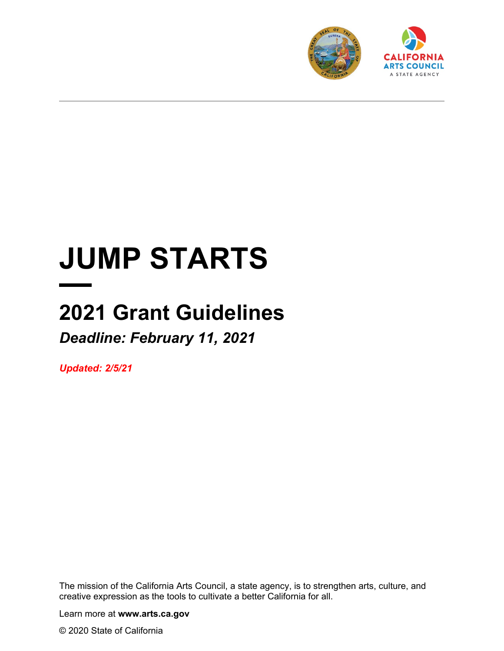

# **JUMP STARTS**

# **2021 Grant Guidelines** *Deadline: February 11, 2021*

*Updated: 2/5/21*

The mission of the California Arts Council, a state agency, is to strengthen arts, culture, and creative expression as the tools to cultivate a better California for all.

Learn more at **www.arts.ca.gov**

© 2020 State of California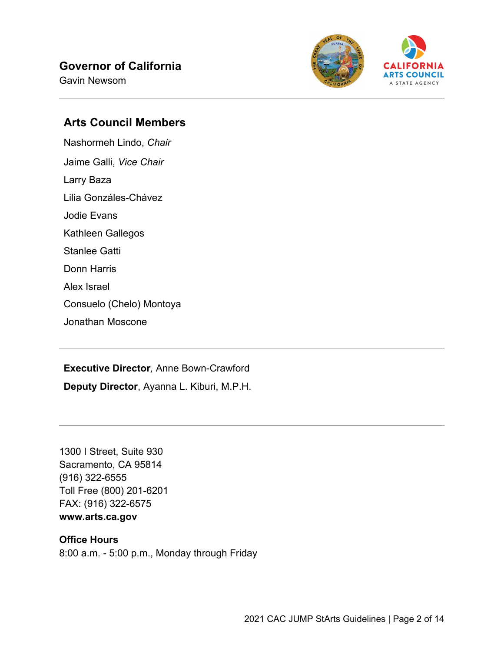# **Governor of California**

Gavin Newsom



#### **Arts Council Members**

Nashormeh Lindo, *Chair* Jaime Galli, *Vice Chair* Larry Baza Lilia Gonzáles-Chávez Jodie Evans Kathleen Gallegos Stanlee Gatti Donn Harris Alex Israel Consuelo (Chelo) Montoya Jonathan Moscone

**Executive Director***,* Anne Bown-Crawford

**Deputy Director**, Ayanna L. Kiburi, M.P.H.

1300 I Street, Suite 930 Sacramento, CA 95814 (916) 322-6555 Toll Free (800) 201-6201 FAX: (916) 322-6575 **www.arts.ca.gov**

#### **Office Hours**

8:00 a.m. - 5:00 p.m., Monday through Friday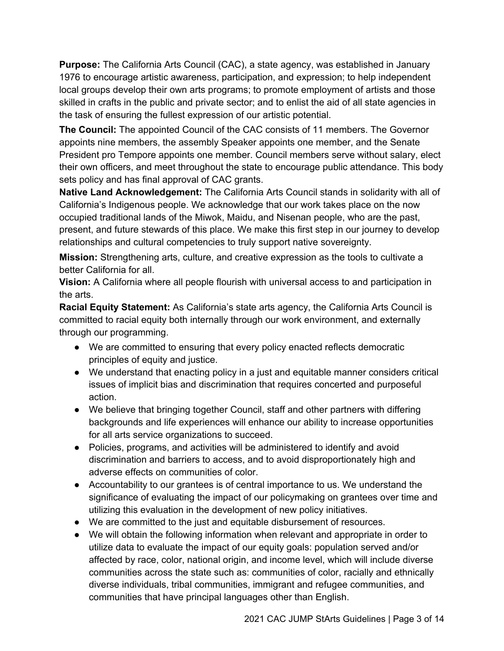**Purpose:** The California Arts Council (CAC), a state agency, was established in January 1976 to encourage artistic awareness, participation, and expression; to help independent local groups develop their own arts programs; to promote employment of artists and those skilled in crafts in the public and private sector; and to enlist the aid of all state agencies in the task of ensuring the fullest expression of our artistic potential.

**The Council:** The appointed Council of the CAC consists of 11 members. The Governor appoints nine members, the assembly Speaker appoints one member, and the Senate President pro Tempore appoints one member. Council members serve without salary, elect their own officers, and meet throughout the state to encourage public attendance. This body sets policy and has final approval of CAC grants.

**Native Land Acknowledgement:** The California Arts Council stands in solidarity with all of California's Indigenous people. We acknowledge that our work takes place on the now occupied traditional lands of the Miwok, Maidu, and Nisenan people, who are the past, present, and future stewards of this place. We make this first step in our journey to develop relationships and cultural competencies to truly support native sovereignty.

**Mission:** Strengthening arts, culture, and creative expression as the tools to cultivate a better California for all.

**Vision:** A California where all people flourish with universal access to and participation in the arts.

**Racial Equity Statement:** As California's state arts agency, the California Arts Council is committed to racial equity both internally through our work environment, and externally through our programming.

- We are committed to ensuring that every policy enacted reflects democratic principles of equity and justice.
- We understand that enacting policy in a just and equitable manner considers critical issues of implicit bias and discrimination that requires concerted and purposeful action.
- We believe that bringing together Council, staff and other partners with differing backgrounds and life experiences will enhance our ability to increase opportunities for all arts service organizations to succeed.
- Policies, programs, and activities will be administered to identify and avoid discrimination and barriers to access, and to avoid disproportionately high and adverse effects on communities of color.
- Accountability to our grantees is of central importance to us. We understand the significance of evaluating the impact of our policymaking on grantees over time and utilizing this evaluation in the development of new policy initiatives.
- We are committed to the just and equitable disbursement of resources.
- We will obtain the following information when relevant and appropriate in order to utilize data to evaluate the impact of our equity goals: population served and/or affected by race, color, national origin, and income level, which will include diverse communities across the state such as: communities of color, racially and ethnically diverse individuals, tribal communities, immigrant and refugee communities, and communities that have principal languages other than English.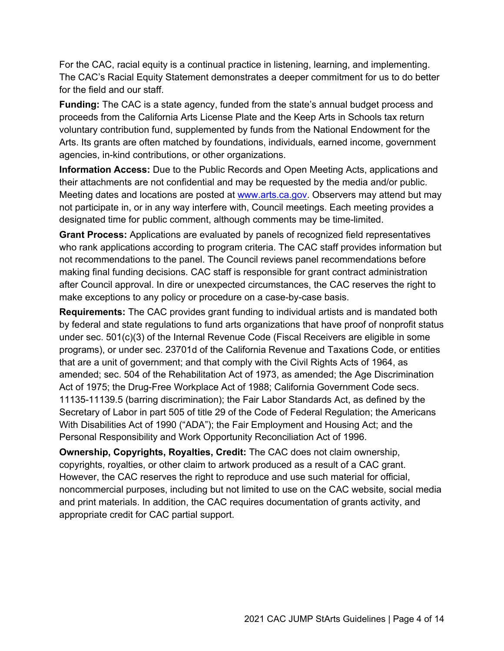For the CAC, racial equity is a continual practice in listening, learning, and implementing. The CAC's Racial Equity Statement demonstrates a deeper commitment for us to do better for the field and our staff.

**Funding:** The CAC is a state agency, funded from the state's annual budget process and proceeds from the California Arts License Plate and the Keep Arts in Schools tax return voluntary contribution fund, supplemented by funds from the National Endowment for the Arts. Its grants are often matched by foundations, individuals, earned income, government agencies, in-kind contributions, or other organizations.

**Information Access:** Due to the Public Records and Open Meeting Acts, applications and their attachments are not confidential and may be requested by the media and/or public. Meeting dates and locations are posted at [www.arts.ca.gov.](http://www.arts.ca.gov/) Observers may attend but may not participate in, or in any way interfere with, Council meetings. Each meeting provides a designated time for public comment, although comments may be time-limited.

**Grant Process:** Applications are evaluated by panels of recognized field representatives who rank applications according to program criteria. The CAC staff provides information but not recommendations to the panel. The Council reviews panel recommendations before making final funding decisions. CAC staff is responsible for grant contract administration after Council approval. In dire or unexpected circumstances, the CAC reserves the right to make exceptions to any policy or procedure on a case-by-case basis.

**Requirements:** The CAC provides grant funding to individual artists and is mandated both by federal and state regulations to fund arts organizations that have proof of nonprofit status under sec. 501(c)(3) of the Internal Revenue Code (Fiscal Receivers are eligible in some programs), or under sec. 23701d of the California Revenue and Taxations Code, or entities that are a unit of government; and that comply with the Civil Rights Acts of 1964, as amended; sec. 504 of the Rehabilitation Act of 1973, as amended; the Age Discrimination Act of 1975; the Drug-Free Workplace Act of 1988; California Government Code secs. 11135-11139.5 (barring discrimination); the Fair Labor Standards Act, as defined by the Secretary of Labor in part 505 of title 29 of the Code of Federal Regulation; the Americans With Disabilities Act of 1990 ("ADA"); the Fair Employment and Housing Act; and the Personal Responsibility and Work Opportunity Reconciliation Act of 1996.

**Ownership, Copyrights, Royalties, Credit:** The CAC does not claim ownership, copyrights, royalties, or other claim to artwork produced as a result of a CAC grant. However, the CAC reserves the right to reproduce and use such material for official, noncommercial purposes, including but not limited to use on the CAC website, social media and print materials. In addition, the CAC requires documentation of grants activity, and appropriate credit for CAC partial support.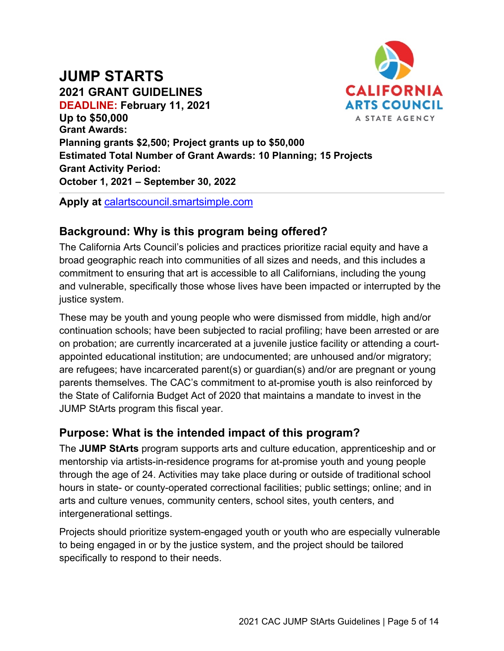# **JUMP STARTS**



**2021 GRANT GUIDELINES DEADLINE: February 11, 2021 Up to \$50,000 Grant Awards: Planning grants \$2,500; Project grants up to \$50,000 Estimated Total Number of Grant Awards: 10 Planning; 15 Projects Grant Activity Period: October 1, 2021 – September 30, 2022**

**Apply at** [calartscouncil.smartsimple.com](https://calartscouncil.smartsimple.com/)

# **Background: Why is this program being offered?**

The California Arts Council's policies and practices prioritize racial equity and have a broad geographic reach into communities of all sizes and needs, and this includes a commitment to ensuring that art is accessible to all Californians, including the young and vulnerable, specifically those whose lives have been impacted or interrupted by the justice system.

These may be youth and young people who were dismissed from middle, high and/or continuation schools; have been subjected to racial profiling; have been arrested or are on probation; are currently incarcerated at a juvenile justice facility or attending a courtappointed educational institution; are undocumented; are unhoused and/or migratory; are refugees; have incarcerated parent(s) or guardian(s) and/or are pregnant or young parents themselves. The CAC's commitment to at-promise youth is also reinforced by the State of California Budget Act of 2020 that maintains a mandate to invest in the JUMP StArts program this fiscal year.

#### **Purpose: What is the intended impact of this program?**

The **JUMP StArts** program supports arts and culture education, apprenticeship and or mentorship via artists-in-residence programs for at-promise youth and young people through the age of 24. Activities may take place during or outside of traditional school hours in state- or county-operated correctional facilities; public settings; online; and in arts and culture venues, community centers, school sites, youth centers, and intergenerational settings.

Projects should prioritize system-engaged youth or youth who are especially vulnerable to being engaged in or by the justice system, and the project should be tailored specifically to respond to their needs.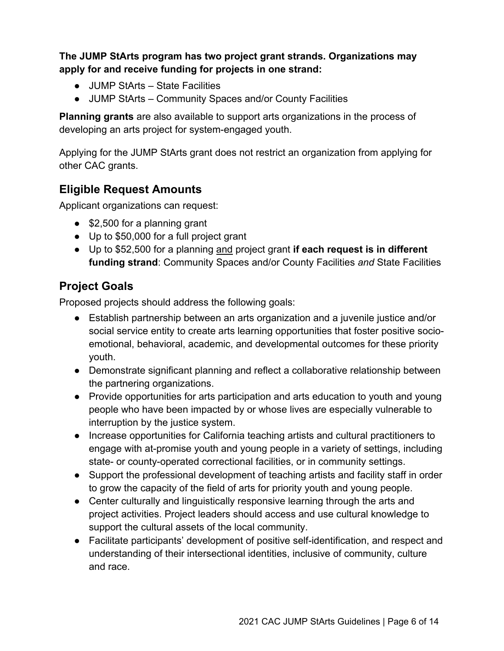**The JUMP StArts program has two project grant strands. Organizations may apply for and receive funding for projects in one strand:**

- JUMP StArts State Facilities
- JUMP StArts Community Spaces and/or County Facilities

**Planning grants** are also available to support arts organizations in the process of developing an arts project for system-engaged youth.

Applying for the JUMP StArts grant does not restrict an organization from applying for other CAC grants.

# **Eligible Request Amounts**

Applicant organizations can request:

- \$2,500 for a planning grant
- Up to \$50,000 for a full project grant
- Up to \$52,500 for a planning and project grant **if each request is in different funding strand**: Community Spaces and/or County Facilities *and* State Facilities

# **Project Goals**

Proposed projects should address the following goals:

- Establish partnership between an arts organization and a juvenile justice and/or social service entity to create arts learning opportunities that foster positive socioemotional, behavioral, academic, and developmental outcomes for these priority youth.
- Demonstrate significant planning and reflect a collaborative relationship between the partnering organizations.
- Provide opportunities for arts participation and arts education to youth and young people who have been impacted by or whose lives are especially vulnerable to interruption by the justice system.
- Increase opportunities for California teaching artists and cultural practitioners to engage with at-promise youth and young people in a variety of settings, including state- or county-operated correctional facilities, or in community settings.
- Support the professional development of teaching artists and facility staff in order to grow the capacity of the field of arts for priority youth and young people.
- Center culturally and linguistically responsive learning through the arts and project activities. Project leaders should access and use cultural knowledge to support the cultural assets of the local community.
- Facilitate participants' development of positive self-identification, and respect and understanding of their intersectional identities, inclusive of community, culture and race.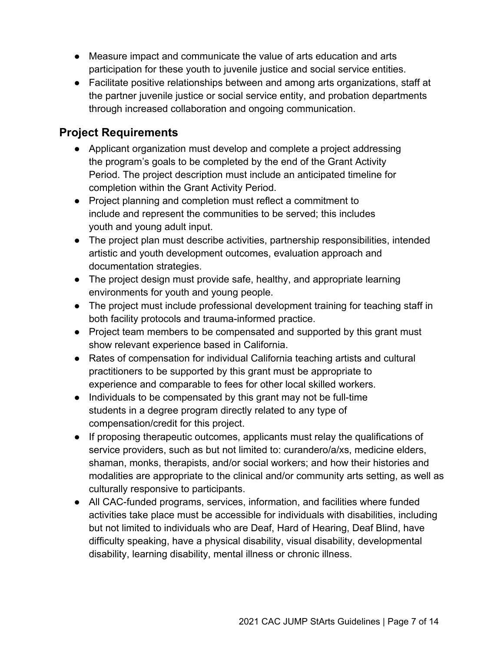- Measure impact and communicate the value of arts education and arts participation for these youth to juvenile justice and social service entities.
- Facilitate positive relationships between and among arts organizations, staff at the partner juvenile justice or social service entity, and probation departments through increased collaboration and ongoing communication.

# **Project Requirements**

- Applicant organization must develop and complete a project addressing the program's goals to be completed by the end of the Grant Activity Period. The project description must include an anticipated timeline for completion within the Grant Activity Period.
- Project planning and completion must reflect a commitment to include and represent the communities to be served; this includes youth and young adult input.
- The project plan must describe activities, partnership responsibilities, intended artistic and youth development outcomes, evaluation approach and documentation strategies.
- The project design must provide safe, healthy, and appropriate learning environments for youth and young people.
- The project must include professional development training for teaching staff in both facility protocols and trauma-informed practice.
- Project team members to be compensated and supported by this grant must show relevant experience based in California.
- Rates of compensation for individual California teaching artists and cultural practitioners to be supported by this grant must be appropriate to experience and comparable to fees for other local skilled workers.
- Individuals to be compensated by this grant may not be full-time students in a degree program directly related to any type of compensation/credit for this project.
- If proposing therapeutic outcomes, applicants must relay the qualifications of service providers, such as but not limited to: curandero/a/xs, medicine elders, shaman, monks, therapists, and/or social workers; and how their histories and modalities are appropriate to the clinical and/or community arts setting, as well as culturally responsive to participants.
- All CAC-funded programs, services, information, and facilities where funded activities take place must be accessible for individuals with disabilities, including but not limited to individuals who are Deaf, Hard of Hearing, Deaf Blind, have difficulty speaking, have a physical disability, visual disability, developmental disability, learning disability, mental illness or chronic illness.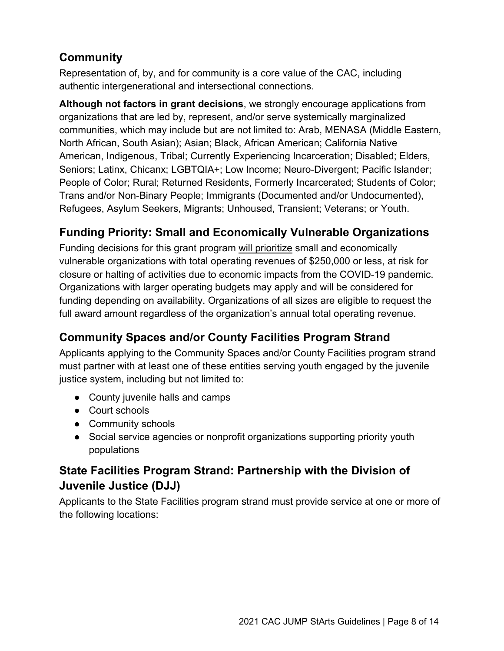# **Community**

Representation of, by, and for community is a core value of the CAC, including authentic intergenerational and intersectional connections.

**Although not factors in grant decisions**, we strongly encourage applications from organizations that are led by, represent, and/or serve systemically marginalized communities, which may include but are not limited to: Arab, MENASA (Middle Eastern, North African, South Asian); Asian; Black, African American; California Native American, Indigenous, Tribal; Currently Experiencing Incarceration; Disabled; Elders, Seniors; Latinx, Chicanx; LGBTQIA+; Low Income; Neuro-Divergent; Pacific Islander; People of Color; Rural; Returned Residents, Formerly Incarcerated; Students of Color; Trans and/or Non-Binary People; Immigrants (Documented and/or Undocumented), Refugees, Asylum Seekers, Migrants; Unhoused, Transient; Veterans; or Youth.

# **Funding Priority: Small and Economically Vulnerable Organizations**

Funding decisions for this grant program will prioritize small and economically vulnerable organizations with total operating revenues of \$250,000 or less, at risk for closure or halting of activities due to economic impacts from the COVID-19 pandemic. Organizations with larger operating budgets may apply and will be considered for funding depending on availability. Organizations of all sizes are eligible to request the full award amount regardless of the organization's annual total operating revenue.

# **Community Spaces and/or County Facilities Program Strand**

Applicants applying to the Community Spaces and/or County Facilities program strand must partner with at least one of these entities serving youth engaged by the juvenile justice system, including but not limited to:

- County juvenile halls and camps
- Court schools
- Community schools
- Social service agencies or nonprofit organizations supporting priority youth populations

# **State Facilities Program Strand: Partnership with the Division of Juvenile Justice (DJJ)**

Applicants to the State Facilities program strand must provide service at one or more of the following locations: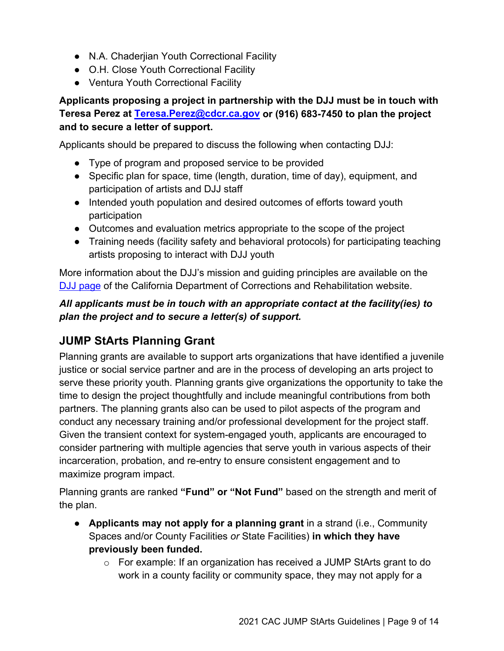- N.A. Chaderiian Youth Correctional Facility
- O.H. Close Youth Correctional Facility
- Ventura Youth Correctional Facility

#### **Applicants proposing a project in partnership with the DJJ must be in touch with Teresa Perez at [Teresa.Perez@cdcr.ca.gov](mailto:Teresa.Perez@cdcr.ca.gov) or (916) 683-7450 to plan the project and to secure a letter of support.**

Applicants should be prepared to discuss the following when contacting DJJ:

- Type of program and proposed service to be provided
- Specific plan for space, time (length, duration, time of day), equipment, and participation of artists and DJJ staff
- Intended youth population and desired outcomes of efforts toward youth participation
- Outcomes and evaluation metrics appropriate to the scope of the project
- Training needs (facility safety and behavioral protocols) for participating teaching artists proposing to interact with DJJ youth

More information about the DJJ's mission and guiding principles are available on the [DJJ page](https://www.cdcr.ca.gov/Juvenile_Justice/index.html) of the California Department of Corrections and Rehabilitation website.

#### *All applicants must be in touch with an appropriate contact at the facility(ies) to plan the project and to secure a letter(s) of support.*

# **JUMP StArts Planning Grant**

Planning grants are available to support arts organizations that have identified a juvenile justice or social service partner and are in the process of developing an arts project to serve these priority youth. Planning grants give organizations the opportunity to take the time to design the project thoughtfully and include meaningful contributions from both partners. The planning grants also can be used to pilot aspects of the program and conduct any necessary training and/or professional development for the project staff. Given the transient context for system-engaged youth, applicants are encouraged to consider partnering with multiple agencies that serve youth in various aspects of their incarceration, probation, and re-entry to ensure consistent engagement and to maximize program impact.

Planning grants are ranked **"Fund" or "Not Fund"** based on the strength and merit of the plan.

- **Applicants may not apply for a planning grant** in a strand (i.e., Community Spaces and/or County Facilities *or* State Facilities) **in which they have previously been funded.**
	- $\circ$  For example: If an organization has received a JUMP StArts grant to do work in a county facility or community space, they may not apply for a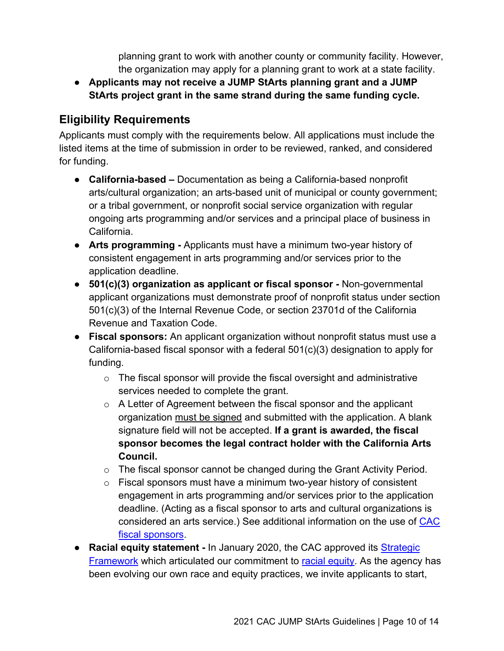planning grant to work with another county or community facility. However, the organization may apply for a planning grant to work at a state facility.

● **Applicants may not receive a JUMP StArts planning grant and a JUMP StArts project grant in the same strand during the same funding cycle.**

# **Eligibility Requirements**

Applicants must comply with the requirements below. All applications must include the listed items at the time of submission in order to be reviewed, ranked, and considered for funding.

- **California-based –** Documentation as being a California-based nonprofit arts/cultural organization; an arts-based unit of municipal or county government; or a tribal government, or nonprofit social service organization with regular ongoing arts programming and/or services and a principal place of business in California.
- **Arts programming -** Applicants must have a minimum two-year history of consistent engagement in arts programming and/or services prior to the application deadline.
- **501(c)(3) organization as applicant or fiscal sponsor -** Non-governmental applicant organizations must demonstrate proof of nonprofit status under section 501(c)(3) of the Internal Revenue Code, or section 23701d of the California Revenue and Taxation Code.
- **Fiscal sponsors:** An applicant organization without nonprofit status must use a California-based fiscal sponsor with a federal 501(c)(3) designation to apply for funding.
	- $\circ$  The fiscal sponsor will provide the fiscal oversight and administrative services needed to complete the grant.
	- $\circ$  A Letter of Agreement between the fiscal sponsor and the applicant organization must be signed and submitted with the application. A blank signature field will not be accepted. **If a grant is awarded, the fiscal sponsor becomes the legal contract holder with the California Arts Council.**
	- o The fiscal sponsor cannot be changed during the Grant Activity Period.
	- $\circ$  Fiscal sponsors must have a minimum two-year history of consistent engagement in arts programming and/or services prior to the application deadline. (Acting as a fiscal sponsor to arts and cultural organizations is considered an arts service.) See additional information on the use of [CAC](https://arts.ca.gov/wp-content/uploads/2020/11/CAC_2021FiscalSponsorPolicy.pdf)  [fiscal sponsors.](https://arts.ca.gov/wp-content/uploads/2020/11/CAC_2021FiscalSponsorPolicy.pdf)
- **Racial equity statement -** In January 2020, the CAC approved it[s](http://www.arts.ca.gov/aboutus/strategicframework.php) [Strategic](https://arts.ca.gov/about/how-we-think/)  [Framework](https://arts.ca.gov/about/how-we-think/) which articulated our commitment t[o](http://www.arts.ca.gov/aboutus/racialequity.php) [racial equity.](https://arts.ca.gov/about/racial-equity-statement/) As the agency has been evolving our own race and equity practices, we invite applicants to start,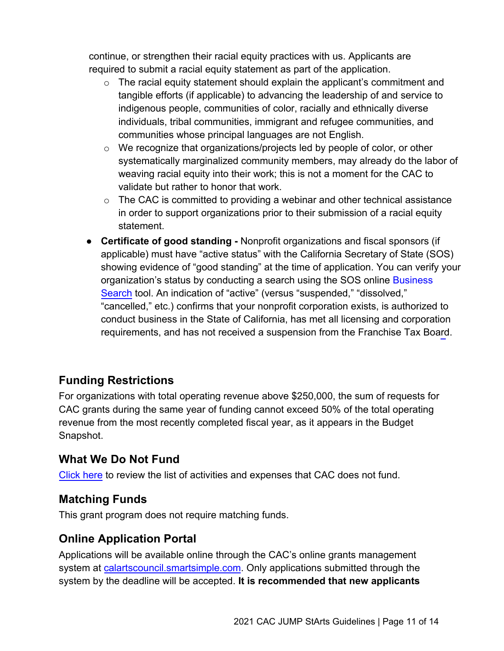continue, or strengthen their racial equity practices with us. Applicants are required to submit a racial equity statement as part of the application.

- $\circ$  The racial equity statement should explain the applicant's commitment and tangible efforts (if applicable) to advancing the leadership of and service to indigenous people, communities of color, racially and ethnically diverse individuals, tribal communities, immigrant and refugee communities, and communities whose principal languages are not English.
- $\circ$  We recognize that organizations/projects led by people of color, or other systematically marginalized community members, may already do the labor of weaving racial equity into their work; this is not a moment for the CAC to validate but rather to honor that work.
- $\circ$  The CAC is committed to providing a webinar and other technical assistance in order to support organizations prior to their submission of a racial equity statement.
- **Certificate of good standing** Nonprofit organizations and fiscal sponsors (if applicable) must have "active status" with the California Secretary of State (SOS) showing evidence of "good standing" at the time of application. You can verify your organization's status by conducting a search using the SOS online [B](https://businesssearch.sos.ca.gov/)usiness Search tool. An indication of "active" (versus "suspended," "dissolved[,"](https://businesssearch.sos.ca.gov/) ["canc](https://businesssearch.sos.ca.gov/)elled," etc.) confirms that your nonprofit corporation exists, is authorized to conduct business in the State of California, has met all licensing and corporation requirements, and has not received a suspension from the Franchise Tax Board.

# **Funding Restrictions**

For organizations with total operating revenue above \$250,000, the sum of requests for CAC grants during the same year of funding cannot exceed 50% of the total operating revenue from the most recently completed fiscal year, as it appears in the Budget Snapshot.

# **[What We](https://arts.ca.gov/wp-content/uploads/2020/11/CAC_2021_WhatDoNotFund.pdf) Do Not Fund**

Click here to review the list of activities and expenses that CAC does not fund.

# **Matching Funds**

This grant program does not require matching funds.

# **Online Application Portal**

Applications will be available online through the CAC's online grants management system at [calartscouncil.smartsimple.com.](https://calartscouncil.smartsimple.com/s_Login.jsp) Only applications submitted through the system by the deadline will be accepted. **It is recommended that new applicants**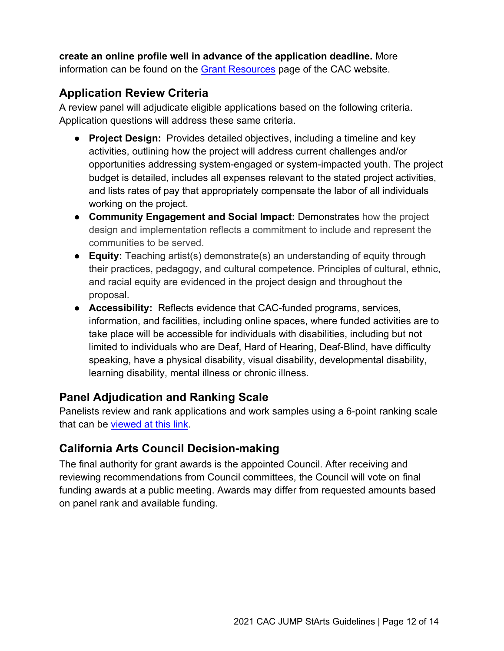**create an online profile well in advance of the application deadline.** More information can be found on the Grant [Resources](https://arts.ca.gov/grants/resources/) page of the CAC website.

# **Application Review Criteria**

A review panel will adjudicate eligible applications based on the following criteria. Application questions will address these same criteria.

- **Project Design:** Provides detailed objectives, including a timeline and key activities, outlining how the project will address current challenges and/or opportunities addressing system-engaged or system-impacted youth. The project budget is detailed, includes all expenses relevant to the stated project activities, and lists rates of pay that appropriately compensate the labor of all individuals working on the project.
- **Community Engagement and Social Impact:** Demonstrates how the project design and implementation reflects a commitment to include and represent the communities to be served.
- **Equity:** Teaching artist(s) demonstrate(s) an understanding of equity through their practices, pedagogy, and cultural competence. Principles of cultural, ethnic, and racial equity are evidenced in the project design and throughout the proposal.
- **Accessibility:** Reflects evidence that CAC-funded programs, services, information, and facilities, including online spaces, where funded activities are to take place will be accessible for individuals with disabilities, including but not limited to individuals who are Deaf, Hard of Hearing, Deaf-Blind, have difficulty speaking, have a physical disability, visual disability, developmental disability, learning disability, mental illness or chronic illness.

# **Panel Adjudication and Ranking Scale**

Panelists review and rank applications and work samples using a 6-point ranking scale that can be [viewed at this link.](https://arts.ca.gov/wp-content/uploads/2020/11/CAC_2021_RankingGuide.pdf)

# **California Arts Council Decision-making**

The final authority for grant awards is the appointed Council. After receiving and reviewing recommendations from Council committees, the Council will vote on final funding awards at a public meeting. Awards may differ from requested amounts based on panel rank and available funding.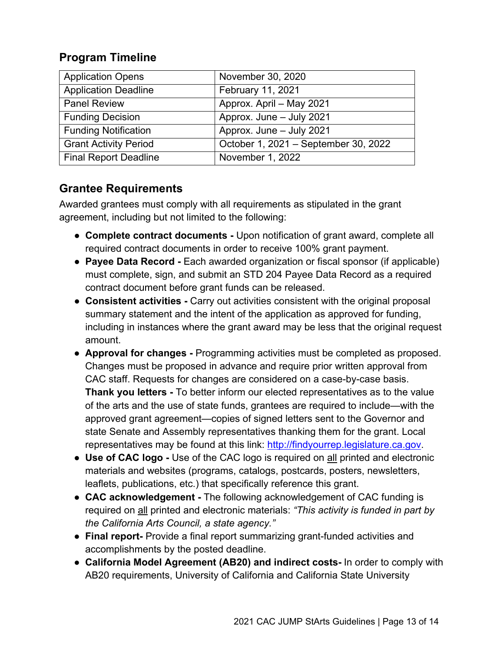#### **Program Timeline**

| <b>Application Opens</b>     | November 30, 2020                    |
|------------------------------|--------------------------------------|
| <b>Application Deadline</b>  | February 11, 2021                    |
| <b>Panel Review</b>          | Approx. April - May 2021             |
| <b>Funding Decision</b>      | Approx. June - July 2021             |
| <b>Funding Notification</b>  | Approx. June - July 2021             |
| <b>Grant Activity Period</b> | October 1, 2021 - September 30, 2022 |
| <b>Final Report Deadline</b> | November 1, 2022                     |

# **Grantee Requirements**

Awarded grantees must comply with all requirements as stipulated in the grant agreement, including but not limited to the following:

- **Complete contract documents -** Upon notification of grant award, complete all required contract documents in order to receive 100% grant payment.
- **Payee Data Record** Each awarded organization or fiscal sponsor (if applicable) must complete, sign, and submit an STD 204 Payee Data Record as a required contract document before grant funds can be released.
- **Consistent activities -** Carry out activities consistent with the original proposal summary statement and the intent of the application as approved for funding, including in instances where the grant award may be less that the original request amount.
- **Approval for changes -** Programming activities must be completed as proposed. Changes must be proposed in advance and require prior written approval from CAC staff. Requests for changes are considered on a case-by-case basis. **Thank you letters -** To better inform our elected representatives as to the value of the arts and the use of state funds, grantees are required to include—with the approved grant agreement—copies of signed letters sent to the Governor and state Senate and Assembly representatives thanking them for the grant. Local representatives may be found at this link: [http://findyourrep.legislature.ca.gov.](http://findyourrep.legislature.ca.gov/)
- **Use of CAC logo -** Use of the CAC logo is required on all printed and electronic materials and websites (programs, catalogs, postcards, posters, newsletters, leaflets, publications, etc.) that specifically reference this grant.
- **CAC acknowledgement -** The following acknowledgement of CAC funding is required on all printed and electronic materials: *"This activity is funded in part by the California Arts Council, a state agency."*
- **Final report-** Provide a final report summarizing grant-funded activities and accomplishments by the posted deadline.
- **California Model Agreement (AB20) and indirect costs-** In order to comply with AB20 requirements, University of California and California State University